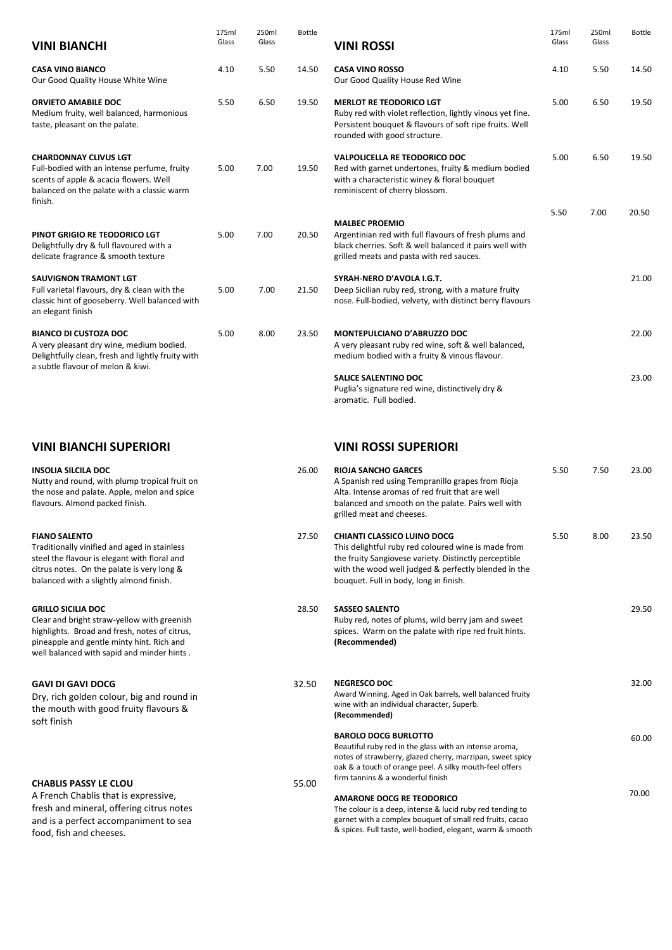| <b>VINI BIANCHI</b>                                                                                                                                                                                                  | 175ml<br>Glass | 250ml<br>Glass | <b>Bottle</b> | <b>VINI ROSSI</b>                                                                                                                                                                                                                                    | 175ml<br>Glass | 250ml<br>Glass | <b>Bottle</b> |
|----------------------------------------------------------------------------------------------------------------------------------------------------------------------------------------------------------------------|----------------|----------------|---------------|------------------------------------------------------------------------------------------------------------------------------------------------------------------------------------------------------------------------------------------------------|----------------|----------------|---------------|
| <b>CASA VINO BIANCO</b><br>Our Good Quality House White Wine                                                                                                                                                         | 4.10           | 5.50           | 14.50         | <b>CASA VINO ROSSO</b><br>Our Good Quality House Red Wine                                                                                                                                                                                            | 4.10           | 5.50           | 14.50         |
| <b>ORVIETO AMABILE DOC</b><br>Medium fruity, well balanced, harmonious<br>taste, pleasant on the palate.                                                                                                             | 5.50           | 6.50           | 19.50         | <b>MERLOT RE TEODORICO LGT</b><br>Ruby red with violet reflection, lightly vinous yet fine.<br>Persistent bouquet & flavours of soft ripe fruits. Well<br>rounded with good structure.                                                               | 5.00           | 6.50           | 19.50         |
| <b>CHARDONNAY CLIVUS LGT</b><br>Full-bodied with an intense perfume, fruity<br>scents of apple & acacia flowers. Well<br>balanced on the palate with a classic warm<br>finish.                                       | 5.00           | 7.00           | 19.50         | <b>VALPOLICELLA RE TEODORICO DOC</b><br>Red with garnet undertones, fruity & medium bodied<br>with a characteristic winey & floral bouquet<br>reminiscent of cherry blossom.                                                                         | 5.00           | 6.50           | 19.50         |
| PINOT GRIGIO RE TEODORICO LGT<br>Delightfully dry & full flavoured with a<br>delicate fragrance & smooth texture                                                                                                     | 5.00           | 7.00           | 20.50         | <b>MALBEC PROEMIO</b><br>Argentinian red with full flavours of fresh plums and<br>black cherries. Soft & well balanced it pairs well with<br>grilled meats and pasta with red sauces.                                                                | 5.50           | 7.00           | 20.50         |
| <b>SAUVIGNON TRAMONT LGT</b><br>Full varietal flavours, dry & clean with the<br>classic hint of gooseberry. Well balanced with<br>an elegant finish                                                                  | 5.00           | 7.00           | 21.50         | SYRAH-NERO D'AVOLA I.G.T.<br>Deep Sicilian ruby red, strong, with a mature fruity<br>nose. Full-bodied, velvety, with distinct berry flavours                                                                                                        |                |                | 21.00         |
| <b>BIANCO DI CUSTOZA DOC</b><br>A very pleasant dry wine, medium bodied.<br>Delightfully clean, fresh and lightly fruity with<br>a subtle flavour of melon & kiwi.                                                   | 5.00           | 8.00           | 23.50         | <b>MONTEPULCIANO D'ABRUZZO DOC</b><br>A very pleasant ruby red wine, soft & well balanced,<br>medium bodied with a fruity & vinous flavour.                                                                                                          |                |                | 22.00         |
|                                                                                                                                                                                                                      |                |                |               | <b>SALICE SALENTINO DOC</b><br>Puglia's signature red wine, distinctively dry &<br>aromatic. Full bodied.                                                                                                                                            |                |                | 23.00         |
| <b>VINI BIANCHI SUPERIORI</b>                                                                                                                                                                                        |                |                |               | <b>VINI ROSSI SUPERIORI</b>                                                                                                                                                                                                                          |                |                |               |
| <b>INSOLIA SILCILA DOC</b><br>Nutty and round, with plump tropical fruit on<br>the nose and palate. Apple, melon and spice<br>flavours. Almond packed finish.                                                        |                |                | 26.00         | <b>RIOJA SANCHO GARCES</b><br>A Spanish red using Tempranillo grapes from Rioja<br>Alta. Intense aromas of red fruit that are well<br>balanced and smooth on the palate. Pairs well with<br>grilled meat and cheeses.                                | 5.50           | 7.50           | 23.00         |
| <b>FIANO SALENTO</b><br>Traditionally vinified and aged in stainless<br>steel the flavour is elegant with floral and<br>citrus notes. On the palate is very long &<br>balanced with a slightly almond finish.        |                |                | 27.50         | <b>CHIANTI CLASSICO LUINO DOCG</b><br>This delightful ruby red coloured wine is made from<br>the fruity Sangiovese variety. Distinctly perceptible<br>with the wood well judged & perfectly blended in the<br>bouquet. Full in body, long in finish. | 5.50           | 8.00           | 23.50         |
| <b>GRILLO SICILIA DOC</b><br>Clear and bright straw-yellow with greenish<br>highlights. Broad and fresh, notes of citrus,<br>pineapple and gentle minty hint. Rich and<br>well balanced with sapid and minder hints. |                |                | 28.50         | <b>SASSEO SALENTO</b><br>Ruby red, notes of plums, wild berry jam and sweet<br>spices. Warm on the palate with ripe red fruit hints.<br>(Recommended)                                                                                                |                |                | 29.50         |
| <b>GAVI DI GAVI DOCG</b><br>Dry, rich golden colour, big and round in<br>the mouth with good fruity flavours &<br>soft finish                                                                                        |                |                | 32.50         | <b>NEGRESCO DOC</b><br>Award Winning. Aged in Oak barrels, well balanced fruity<br>wine with an individual character, Superb.<br>(Recommended)                                                                                                       |                |                | 32.00         |
|                                                                                                                                                                                                                      |                |                |               | <b>BAROLO DOCG BURLOTTO</b><br>Beautiful ruby red in the glass with an intense aroma,<br>notes of strawberry, glazed cherry, marzipan, sweet spicy<br>oak & a touch of orange peel. A silky mouth-feel offers<br>firm tannins & a wonderful finish   |                |                | 60.00         |
| <b>CHABLIS PASSY LE CLOU</b><br>A French Chablis that is expressive,<br>fresh and mineral, offering citrus notes                                                                                                     |                |                | 55.00         | <b>AMARONE DOCG RE TEODORICO</b>                                                                                                                                                                                                                     |                |                | 70.00         |